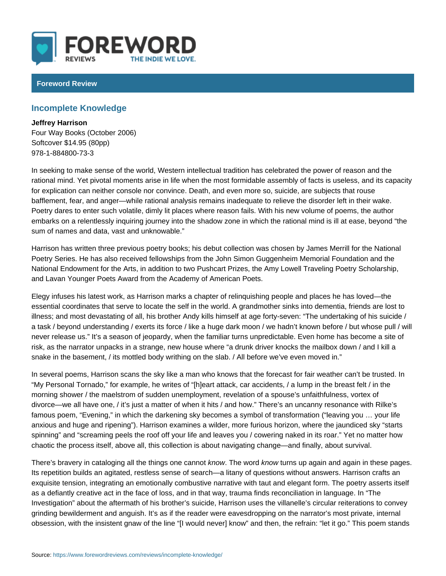## Foreword Review

## Incomplete Knowledge

Jeffrey Harrison Four Way Books (October 2006) Softcover \$14.95 (80pp) 978-1-884800-73-3

In seeking to make sense of the world, Western intellectual tradition has celebrated the power of  $t$ rational mind. Yet pivotal moments arise in life when the most formidable asser for explication can neither console nor convince. Death, and even more so, suid bafflement, fear, and anger while rational analysis remains inadequate to reliev Poetry dares to enter such volatile, dimly lit places where reason fails. With hi embarks on a relentlessly inquiring journey into the shadow zone in which the r sum of names and data, vast and unknowable.

Harrison has written three previous poetry books; his debut collection was chos Poetry Series. He has also received fellowships from the John Simon Guggenhe National Endowment for the Arts, in addition to two Pushcart Prizes, the Amy Lowell and Lavan Younger Poets Award from the Academy of American Poets.

Elegy infuses his latest work, as Harrison marks a chapter of relinquishing peo essential coordinates that serve to locate the self in the world. A grandmother illness; and most devastating of all, his brother Andy kills himself at age fortya task / beyond understanding / exerts its force / like a huge dark moon / we ha never release us. It s a season of jeopardy, when the familiar turns unpredicta risk, as the narrator unpacks in a strange, new house where a drunk driver kno snake in the basement, / its mottled body writhing on the slab. / All before we v

In several poems, Harrison scans the sky like a man who knows that the foreca: My Personal Tornado, for example, he writes of [h]eart attack, car accidents, morning shower / the maelstrom of sudden unemployment, revelation of a spous divorce we all have one, / it s just a matter of when it hits / and how. There s famous poem, Evening, in which the darkening sky becomes a symbol of transf anxious and huge and ripening ). Harrison examines a wilder, more furious hori spinning and screaming peels the roof off your life and leaves you / cowering chaotic the process itself, above all, this collection is about navigating change

There s bravery in cataloging all the meothing swhomed who carm is outp again and again in the Its repetition builds an agitated, restless sense of search a litany of questions exquisite tension, integrating an emotionally combustive narrative with taut and as a defiantly creative act in the face of loss, and in that way, trauma finds red Investigation about the aftermath of his brother s suicide, Harrison uses the v grinding bewilderment and anguish. It s as if the reader were eavesdropping on obsession, with the insistent gnaw of the line [I would never] know and then,